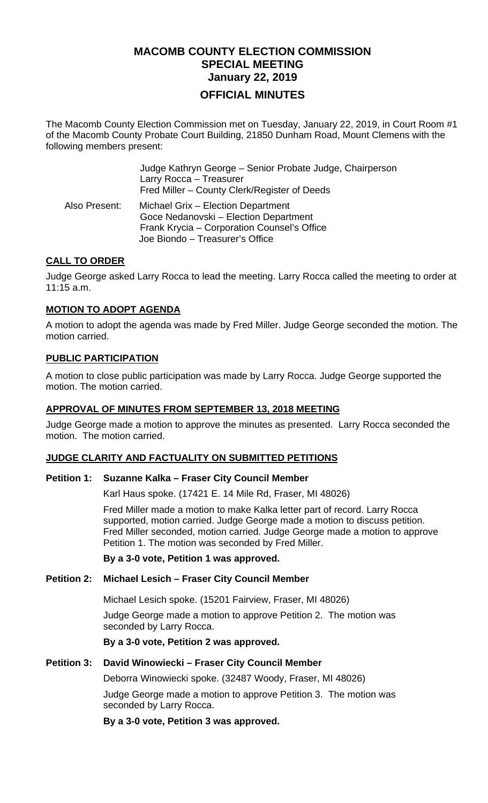# **MACOMB COUNTY ELECTION COMMISSION SPECIAL MEETING January 22, 2019 OFFICIAL MINUTES**

The Macomb County Election Commission met on Tuesday, January 22, 2019, in Court Room #1 of the Macomb County Probate Court Building, 21850 Dunham Road, Mount Clemens with the following members present:

|               | Judge Kathryn George - Senior Probate Judge, Chairperson<br>Larry Rocca - Treasurer<br>Fred Miller – County Clerk/Register of Deeds                           |
|---------------|---------------------------------------------------------------------------------------------------------------------------------------------------------------|
| Also Present: | Michael Grix - Election Department<br>Goce Nedanovski - Election Department<br>Frank Krycia - Corporation Counsel's Office<br>Joe Biondo - Treasurer's Office |

# **CALL TO ORDER**

Judge George asked Larry Rocca to lead the meeting. Larry Rocca called the meeting to order at 11:15 a.m.

## **MOTION TO ADOPT AGENDA**

A motion to adopt the agenda was made by Fred Miller. Judge George seconded the motion. The motion carried.

## **PUBLIC PARTICIPATION**

A motion to close public participation was made by Larry Rocca. Judge George supported the motion. The motion carried.

## **APPROVAL OF MINUTES FROM SEPTEMBER 13, 2018 MEETING**

Judge George made a motion to approve the minutes as presented. Larry Rocca seconded the motion. The motion carried.

## **JUDGE CLARITY AND FACTUALITY ON SUBMITTED PETITIONS**

#### **Petition 1: Suzanne Kalka – Fraser City Council Member**

Karl Haus spoke. (17421 E. 14 Mile Rd, Fraser, MI 48026)

Fred Miller made a motion to make Kalka letter part of record. Larry Rocca supported, motion carried. Judge George made a motion to discuss petition. Fred Miller seconded, motion carried. Judge George made a motion to approve Petition 1. The motion was seconded by Fred Miller.

**By a 3-0 vote, Petition 1 was approved.** 

## **Petition 2: Michael Lesich – Fraser City Council Member**

Michael Lesich spoke. (15201 Fairview, Fraser, MI 48026)

Judge George made a motion to approve Petition 2. The motion was seconded by Larry Rocca.

#### **By a 3-0 vote, Petition 2 was approved.**

#### **Petition 3: David Winowiecki – Fraser City Council Member**

Deborra Winowiecki spoke. (32487 Woody, Fraser, MI 48026)

Judge George made a motion to approve Petition 3. The motion was seconded by Larry Rocca.

**By a 3-0 vote, Petition 3 was approved.**